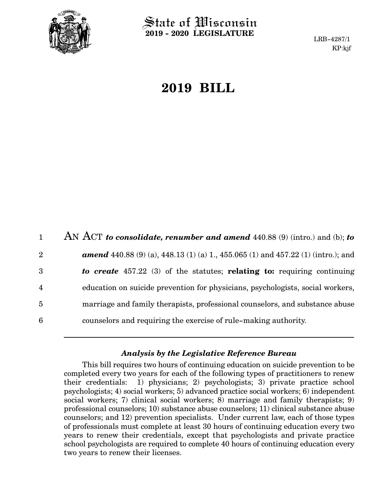

State of Wisconsin **2019 - 2020 LEGISLATURE**

LRB-4287/1 KP:kjf

## **2019 BILL**

|                         | AN ACT to consolidate, renumber and amend $440.88(9)$ (intro.) and (b); to              |
|-------------------------|-----------------------------------------------------------------------------------------|
| $\overline{2}$          | <b>amend</b> 440.88 (9) (a), 448.13 (1) (a) 1, 455.065 (1) and 457.22 (1) (intro.); and |
| 3                       | to create 457.22 (3) of the statutes; relating to: requiring continuing                 |
| $\overline{\mathbf{4}}$ | education on suicide prevention for physicians, psychologists, social workers,          |
| 5                       | marriage and family therapists, professional counselors, and substance abuse            |
| 6                       | counselors and requiring the exercise of rule-making authority.                         |

## *Analysis by the Legislative Reference Bureau*

This bill requires two hours of continuing education on suicide prevention to be completed every two years for each of the following types of practitioners to renew their credentials: 1) physicians; 2) psychologists; 3) private practice school psychologists; 4) social workers; 5) advanced practice social workers; 6) independent social workers; 7) clinical social workers; 8) marriage and family therapists; 9) professional counselors; 10) substance abuse counselors; 11) clinical substance abuse counselors; and 12) prevention specialists. Under current law, each of those types of professionals must complete at least 30 hours of continuing education every two years to renew their credentials, except that psychologists and private practice school psychologists are required to complete 40 hours of continuing education every two years to renew their licenses.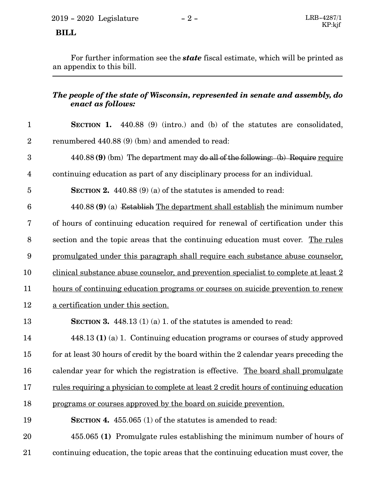## **BILL**

For further information see the *state* fiscal estimate, which will be printed as an appendix to this bill.

## *The people of the state of Wisconsin, represented in senate and assembly, do enact as follows:*

| $\mathbf{1}$            | <b>SECTION 1.</b> 440.88 (9) (intro.) and (b) of the statutes are consolidated,         |
|-------------------------|-----------------------------------------------------------------------------------------|
| $\boldsymbol{2}$        | renumbered 440.88 (9) (bm) and amended to read:                                         |
| 3                       | $440.88$ (9) (bm) The department may do all of the following: (b) Require require       |
| $\overline{\mathbf{4}}$ | continuing education as part of any disciplinary process for an individual.             |
| $\overline{5}$          | <b>SECTION 2.</b> 440.88 $(9)$ (a) of the statutes is amended to read:                  |
| $\boldsymbol{6}$        | 440.88 (9) (a) Establish The department shall establish the minimum number              |
| 7                       | of hours of continuing education required for renewal of certification under this       |
| $8\,$                   | section and the topic areas that the continuing education must cover. The rules         |
| $\boldsymbol{9}$        | promulgated under this paragraph shall require each substance abuse counselor,          |
| 10                      | clinical substance abuse counselor, and prevention specialist to complete at least 2    |
| 11                      | hours of continuing education programs or courses on suicide prevention to renew        |
| 12                      | a certification under this section.                                                     |
| 13                      | <b>SECTION 3.</b> 448.13 (1) (a) 1. of the statures is amended to read:                 |
| 14                      | $448.13$ (1) (a) 1. Continuing education programs or courses of study approved          |
| 15                      | for at least 30 hours of credit by the board within the 2 calendar years preceding the  |
| 16                      | calendar year for which the registration is effective. The board shall promulgate       |
| 17                      | rules requiring a physician to complete at least 2 credit hours of continuing education |
| 18                      | programs or courses approved by the board on suicide prevention.                        |
| 19                      | <b>SECTION 4.</b> 455.065 (1) of the statutes is amended to read:                       |
| 20                      | 455.065 (1) Promulgate rules establishing the minimum number of hours of                |
| 21                      | continuing education, the topic areas that the continuing education must cover, the     |